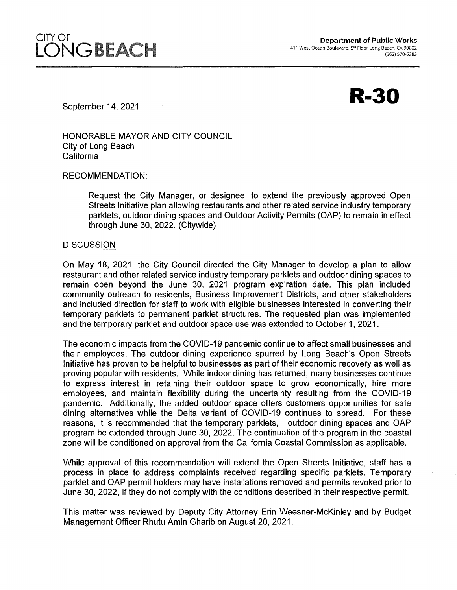**R-30** 

September 14, 2021

HONORABLE MAYOR AND CITY COUNCIL City of Long Beach California

RECOMMENDATION:

Request the City Manager, or designee, to extend the previously approved Open Streets Initiative plan allowing restaurants and other related service industry temporary parklets, outdoor dining spaces and Outdoor Activity Permits (OAP) to remain in effect through June 30, 2022. (Citywide)

## **DISCUSSION**

On May 18, 2021, the City Council directed the City Manager to develop a plan to allow restaurant and other related service industry temporary parklets and outdoor dining spaces to remain open beyond the June 30, 2021 program expiration date. This plan included community outreach to residents, Business Improvement Districts, and other stakeholders and included direction for staff to work with eligible businesses interested in converting their temporary parklets to permanent parklet structures. The requested plan was implemented and the temporary parklet and outdoor space use was extended to October 1, 2021.

The economic impacts from the COVID-19 pandemic continue to affect small businesses and their employees. The outdoor dining experience spurred by Long Beach's Open Streets Initiative has proven to be helpful to businesses as part of their economic recovery as well as proving popular with residents. While indoor dining has returned, many businesses continue to express interest in retaining their outdoor space to grow economically, hire more employees, and maintain flexibility during the uncertainty resulting from the COVID-19 pandemic. Additionally, the added outdoor space offers customers opportunities for safe dining alternatives while the Delta variant of COVID-19 continues to spread. For these reasons, it is recommended that the temporary parklets, outdoor dining spaces and OAP program be extended through June 30, 2022. The continuation of the program in the coastal zone will be conditioned on approval from the California Coastal Commission as applicable.

While approval of this recommendation will extend the Open Streets Initiative, staff has a process in place to address complaints received regarding specific parklets. Temporary parklet and OAP permit holders may have installations removed and permits revoked prior to June 30, 2022, if they do not comply with the conditions described in their respective permit.

This matter was reviewed by Deputy City Attorney Erin Weesner-McKinley and by Budget Management Officer Rhutu Amin Gharib on August 20, 2021.